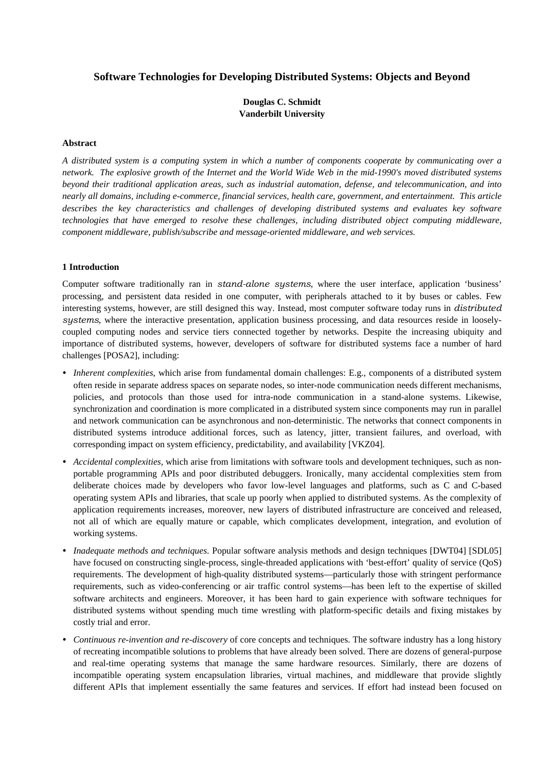# **Software Technologies for Developing Distributed Systems: Objects and Beyond**

# **Douglas C. Schmidt Vanderbilt University**

## **Abstract**

*A distributed system is a computing system in which a number of components cooperate by communicating over a network. The explosive growth of the Internet and the World Wide Web in the mid-1990's moved distributed systems beyond their traditional application areas, such as industrial automation, defense, and telecommunication, and into nearly all domains, including e-commerce, financial services, health care, government, and entertainment. This article describes the key characteristics and challenges of developing distributed systems and evaluates key software technologies that have emerged to resolve these challenges, including distributed object computing middleware, component middleware, publish/subscribe and message-oriented middleware, and web services.* 

### **1 Introduction**

Computer software traditionally ran in *stand-alone systems*, where the user interface, application 'business' processing, and persistent data resided in one computer, with peripherals attached to it by buses or cables. Few interesting systems, however, are still designed this way. Instead, most computer software today runs in *distributed systems*, where the interactive presentation, application business processing, and data resources reside in looselycoupled computing nodes and service tiers connected together by networks. Despite the increasing ubiquity and importance of distributed systems, however, developers of software for distributed systems face a number of hard challenges [POSA2], including:

- *Inherent complexities*, which arise from fundamental domain challenges: E.g., components of a distributed system often reside in separate address spaces on separate nodes, so inter-node communication needs different mechanisms, policies, and protocols than those used for intra-node communication in a stand-alone systems. Likewise, synchronization and coordination is more complicated in a distributed system since components may run in parallel and network communication can be asynchronous and non-deterministic. The networks that connect components in distributed systems introduce additional forces, such as latency, jitter, transient failures, and overload, with corresponding impact on system efficiency, predictability, and availability [VKZ04].
- *Accidental complexities,* which arise from limitations with software tools and development techniques, such as nonportable programming APIs and poor distributed debuggers. Ironically, many accidental complexities stem from deliberate choices made by developers who favor low-level languages and platforms, such as C and C-based operating system APIs and libraries, that scale up poorly when applied to distributed systems. As the complexity of application requirements increases, moreover, new layers of distributed infrastructure are conceived and released, not all of which are equally mature or capable, which complicates development, integration, and evolution of working systems.
- *Inadequate methods and techniques*. Popular software analysis methods and design techniques [DWT04] [SDL05] have focused on constructing single-process, single-threaded applications with 'best-effort' quality of service (QoS) requirements. The development of high-quality distributed systems—particularly those with stringent performance requirements, such as video-conferencing or air traffic control systems—has been left to the expertise of skilled software architects and engineers. Moreover, it has been hard to gain experience with software techniques for distributed systems without spending much time wrestling with platform-specific details and fixing mistakes by costly trial and error.
- *Continuous re-invention and re-discovery* of core concepts and techniques. The software industry has a long history of recreating incompatible solutions to problems that have already been solved. There are dozens of general-purpose and real-time operating systems that manage the same hardware resources. Similarly, there are dozens of incompatible operating system encapsulation libraries, virtual machines, and middleware that provide slightly different APIs that implement essentially the same features and services. If effort had instead been focused on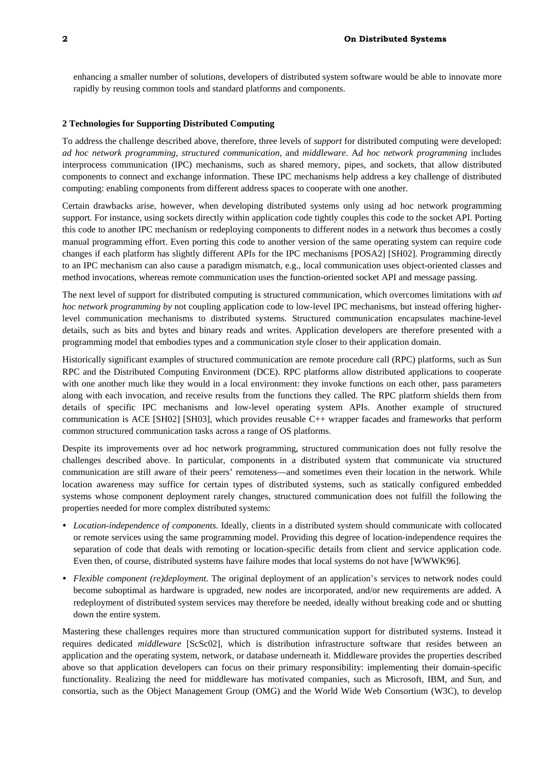enhancing a smaller number of solutions, developers of distributed system software would be able to innovate more rapidly by reusing common tools and standard platforms and components.

#### **2 Technologies for Supporting Distributed Computing**

To address the challenge described above, therefore, three levels of *support* for distributed computing were developed: *ad hoc network programming*, *structured communication*, and *middleware*. A*d hoc network programming* includes interprocess communication (IPC) mechanisms, such as shared memory, pipes, and sockets, that allow distributed components to connect and exchange information. These IPC mechanisms help address a key challenge of distributed computing: enabling components from different address spaces to cooperate with one another.

Certain drawbacks arise, however, when developing distributed systems only using ad hoc network programming support. For instance, using sockets directly within application code tightly couples this code to the socket API. Porting this code to another IPC mechanism or redeploying components to different nodes in a network thus becomes a costly manual programming effort. Even porting this code to another version of the same operating system can require code changes if each platform has slightly different APIs for the IPC mechanisms [POSA2] [SH02]. Programming directly to an IPC mechanism can also cause a paradigm mismatch, e.g., local communication uses object-oriented classes and method invocations, whereas remote communication uses the function-oriented socket API and message passing.

The next level of support for distributed computing is structured communication, which overcomes limitations with *ad hoc network programming by* not coupling application code to low-level IPC mechanisms, but instead offering higherlevel communication mechanisms to distributed systems. Structured communication encapsulates machine-level details, such as bits and bytes and binary reads and writes. Application developers are therefore presented with a programming model that embodies types and a communication style closer to their application domain.

Historically significant examples of structured communication are remote procedure call (RPC) platforms, such as Sun RPC and the Distributed Computing Environment (DCE). RPC platforms allow distributed applications to cooperate with one another much like they would in a local environment: they invoke functions on each other, pass parameters along with each invocation, and receive results from the functions they called. The RPC platform shields them from details of specific IPC mechanisms and low-level operating system APIs. Another example of structured communication is ACE [SH02] [SH03], which provides reusable C++ wrapper facades and frameworks that perform common structured communication tasks across a range of OS platforms.

Despite its improvements over ad hoc network programming, structured communication does not fully resolve the challenges described above. In particular, components in a distributed system that communicate via structured communication are still aware of their peers' remoteness—and sometimes even their location in the network. While location awareness may suffice for certain types of distributed systems, such as statically configured embedded systems whose component deployment rarely changes, structured communication does not fulfill the following the properties needed for more complex distributed systems:

- *Location-independence of components*. Ideally, clients in a distributed system should communicate with collocated or remote services using the same programming model. Providing this degree of location-independence requires the separation of code that deals with remoting or location-specific details from client and service application code. Even then, of course, distributed systems have failure modes that local systems do not have [WWWK96].
- *Flexible component (re)deployment*. The original deployment of an application's services to network nodes could become suboptimal as hardware is upgraded, new nodes are incorporated, and/or new requirements are added. A redeployment of distributed system services may therefore be needed, ideally without breaking code and or shutting down the entire system.

Mastering these challenges requires more than structured communication support for distributed systems. Instead it requires dedicated *middleware* [ScSc02], which is distribution infrastructure software that resides between an application and the operating system, network, or database underneath it. Middleware provides the properties described above so that application developers can focus on their primary responsibility: implementing their domain-specific functionality. Realizing the need for middleware has motivated companies, such as Microsoft, IBM, and Sun, and consortia, such as the Object Management Group (OMG) and the World Wide Web Consortium (W3C), to develop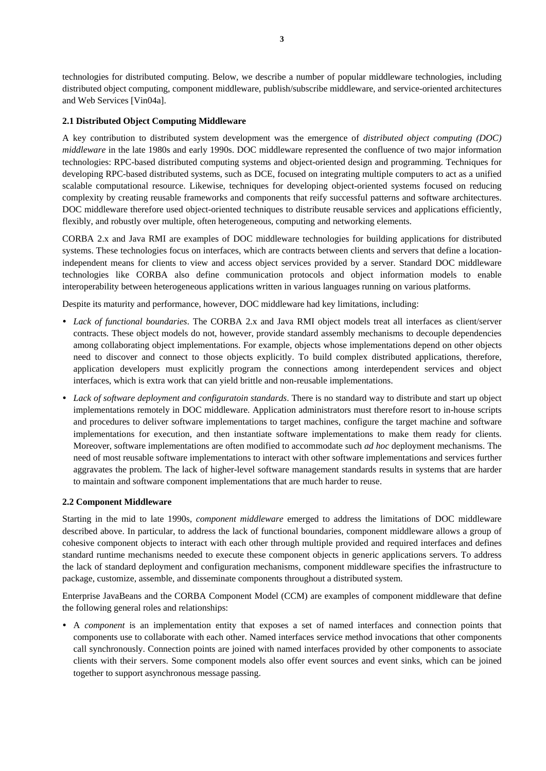technologies for distributed computing. Below, we describe a number of popular middleware technologies, including distributed object computing, component middleware, publish/subscribe middleware, and service-oriented architectures and Web Services [Vin04a].

# **2.1 Distributed Object Computing Middleware**

A key contribution to distributed system development was the emergence of *distributed object computing (DOC) middleware* in the late 1980s and early 1990s. DOC middleware represented the confluence of two major information technologies: RPC-based distributed computing systems and object-oriented design and programming. Techniques for developing RPC-based distributed systems, such as DCE, focused on integrating multiple computers to act as a unified scalable computational resource. Likewise, techniques for developing object-oriented systems focused on reducing complexity by creating reusable frameworks and components that reify successful patterns and software architectures. DOC middleware therefore used object-oriented techniques to distribute reusable services and applications efficiently, flexibly, and robustly over multiple, often heterogeneous, computing and networking elements.

CORBA 2.x and Java RMI are examples of DOC middleware technologies for building applications for distributed systems. These technologies focus on interfaces, which are contracts between clients and servers that define a locationindependent means for clients to view and access object services provided by a server. Standard DOC middleware technologies like CORBA also define communication protocols and object information models to enable interoperability between heterogeneous applications written in various languages running on various platforms.

Despite its maturity and performance, however, DOC middleware had key limitations, including:

- *Lack of functional boundaries*. The CORBA 2.x and Java RMI object models treat all interfaces as client/server contracts. These object models do not, however, provide standard assembly mechanisms to decouple dependencies among collaborating object implementations. For example, objects whose implementations depend on other objects need to discover and connect to those objects explicitly. To build complex distributed applications, therefore, application developers must explicitly program the connections among interdependent services and object interfaces, which is extra work that can yield brittle and non-reusable implementations.
- *Lack of software deployment and configuratoin standards*. There is no standard way to distribute and start up object implementations remotely in DOC middleware. Application administrators must therefore resort to in-house scripts and procedures to deliver software implementations to target machines, configure the target machine and software implementations for execution, and then instantiate software implementations to make them ready for clients. Moreover, software implementations are often modified to accommodate such *ad hoc* deployment mechanisms. The need of most reusable software implementations to interact with other software implementations and services further aggravates the problem. The lack of higher-level software management standards results in systems that are harder to maintain and software component implementations that are much harder to reuse.

# **2.2 Component Middleware**

Starting in the mid to late 1990s, *component middleware* emerged to address the limitations of DOC middleware described above. In particular, to address the lack of functional boundaries, component middleware allows a group of cohesive component objects to interact with each other through multiple provided and required interfaces and defines standard runtime mechanisms needed to execute these component objects in generic applications servers. To address the lack of standard deployment and configuration mechanisms, component middleware specifies the infrastructure to package, customize, assemble, and disseminate components throughout a distributed system.

Enterprise JavaBeans and the CORBA Component Model (CCM) are examples of component middleware that define the following general roles and relationships:

• A *component* is an implementation entity that exposes a set of named interfaces and connection points that components use to collaborate with each other. Named interfaces service method invocations that other components call synchronously. Connection points are joined with named interfaces provided by other components to associate clients with their servers. Some component models also offer event sources and event sinks, which can be joined together to support asynchronous message passing.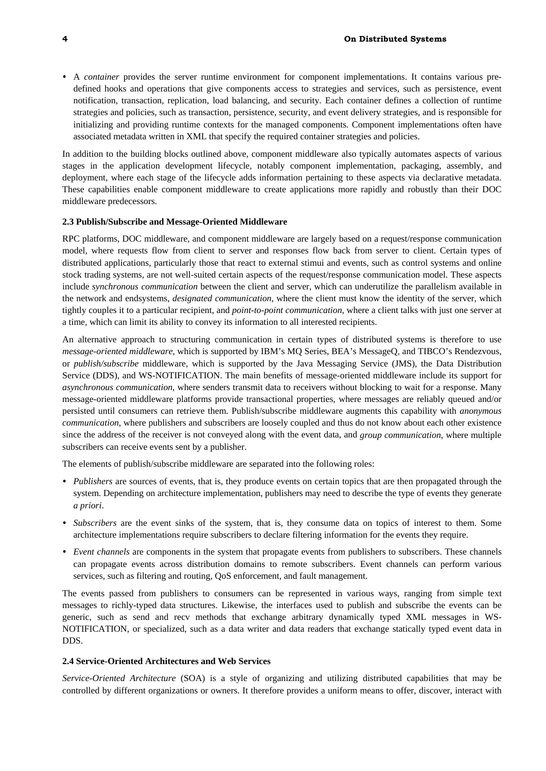• A *container* provides the server runtime environment for component implementations. It contains various predefined hooks and operations that give components access to strategies and services, such as persistence, event notification, transaction, replication, load balancing, and security. Each container defines a collection of runtime strategies and policies, such as transaction, persistence, security, and event delivery strategies, and is responsible for initializing and providing runtime contexts for the managed components. Component implementations often have associated metadata written in XML that specify the required container strategies and policies.

In addition to the building blocks outlined above, component middleware also typically automates aspects of various stages in the application development lifecycle, notably component implementation, packaging, assembly, and deployment, where each stage of the lifecycle adds information pertaining to these aspects via declarative metadata. These capabilities enable component middleware to create applications more rapidly and robustly than their DOC middleware predecessors.

#### **2.3 Publish/Subscribe and Message-Oriented Middleware**

RPC platforms, DOC middleware, and component middleware are largely based on a request/response communication model, where requests flow from client to server and responses flow back from server to client. Certain types of distributed applications, particularly those that react to external stimui and events, such as control systems and online stock trading systems, are not well-suited certain aspects of the request/response communication model. These aspects include *synchronous communication* between the client and server, which can underutilize the parallelism available in the network and endsystems, *designated communication*, where the client must know the identity of the server, which tightly couples it to a particular recipient, and *point-to-point communication*, where a client talks with just one server at a time, which can limit its ability to convey its information to all interested recipients.

An alternative approach to structuring communication in certain types of distributed systems is therefore to use *message-oriented middleware*, which is supported by IBM's MQ Series, BEA's MessageQ, and TIBCO's Rendezvous, or *publish/subscribe* middleware, which is supported by the Java Messaging Service (JMS), the Data Distribution Service (DDS), and WS-NOTIFICATION. The main benefits of message-oriented middleware include its support for *asynchronous communication*, where senders transmit data to receivers without blocking to wait for a response. Many message-oriented middleware platforms provide transactional properties, where messages are reliably queued and/or persisted until consumers can retrieve them. Publish/subscribe middleware augments this capability with *anonymous communication*, where publishers and subscribers are loosely coupled and thus do not know about each other existence since the address of the receiver is not conveyed along with the event data, and *group communication*, where multiple subscribers can receive events sent by a publisher.

The elements of publish/subscribe middleware are separated into the following roles:

- *Publishers* are sources of events, that is, they produce events on certain topics that are then propagated through the system. Depending on architecture implementation, publishers may need to describe the type of events they generate *a priori*.
- *Subscribers* are the event sinks of the system, that is, they consume data on topics of interest to them. Some architecture implementations require subscribers to declare filtering information for the events they require.
- *Event channels* are components in the system that propagate events from publishers to subscribers. These channels can propagate events across distribution domains to remote subscribers. Event channels can perform various services, such as filtering and routing, QoS enforcement, and fault management.

The events passed from publishers to consumers can be represented in various ways, ranging from simple text messages to richly-typed data structures. Likewise, the interfaces used to publish and subscribe the events can be generic, such as send and recv methods that exchange arbitrary dynamically typed XML messages in WS-NOTIFICATION, or specialized, such as a data writer and data readers that exchange statically typed event data in DDS.

### **2.4 Service-Oriented Architectures and Web Services**

*Service-Oriented Architecture* (SOA) is a style of organizing and utilizing distributed capabilities that may be controlled by different organizations or owners. It therefore provides a uniform means to offer, discover, interact with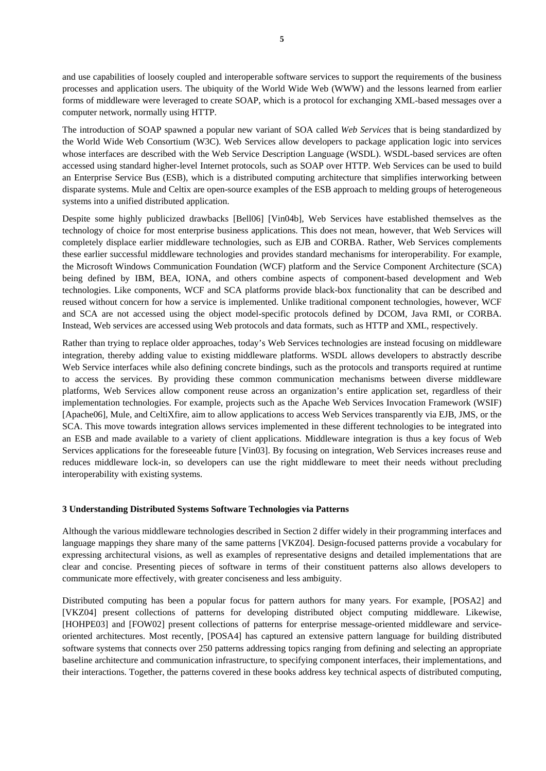and use capabilities of loosely coupled and interoperable software services to support the requirements of the business processes and application users. The ubiquity of the World Wide Web (WWW) and the lessons learned from earlier forms of middleware were leveraged to create SOAP, which is a protocol for exchanging XML-based messages over a

The introduction of SOAP spawned a popular new variant of SOA called *Web Services* that is being standardized by the World Wide Web Consortium (W3C). Web Services allow developers to package application logic into services whose interfaces are described with the Web Service Description Language (WSDL). WSDL-based services are often accessed using standard higher-level Internet protocols, such as SOAP over HTTP. Web Services can be used to build an Enterprise Service Bus (ESB), which is a distributed computing architecture that simplifies interworking between disparate systems. Mule and Celtix are open-source examples of the ESB approach to melding groups of heterogeneous systems into a unified distributed application.

Despite some highly publicized drawbacks [Bell06] [Vin04b], Web Services have established themselves as the technology of choice for most enterprise business applications. This does not mean, however, that Web Services will completely displace earlier middleware technologies, such as EJB and CORBA. Rather, Web Services complements these earlier successful middleware technologies and provides standard mechanisms for interoperability. For example, the Microsoft Windows Communication Foundation (WCF) platform and the Service Component Architecture (SCA) being defined by IBM, BEA, IONA, and others combine aspects of component-based development and Web technologies. Like components, WCF and SCA platforms provide black-box functionality that can be described and reused without concern for how a service is implemented. Unlike traditional component technologies, however, WCF and SCA are not accessed using the object model-specific protocols defined by DCOM, Java RMI, or CORBA. Instead, Web services are accessed using Web protocols and data formats, such as HTTP and XML, respectively.

Rather than trying to replace older approaches, today's Web Services technologies are instead focusing on middleware integration, thereby adding value to existing middleware platforms. WSDL allows developers to abstractly describe Web Service interfaces while also defining concrete bindings, such as the protocols and transports required at runtime to access the services. By providing these common communication mechanisms between diverse middleware platforms, Web Services allow component reuse across an organization's entire application set, regardless of their implementation technologies. For example, projects such as the Apache Web Services Invocation Framework (WSIF) [Apache06], Mule, and CeltiXfire, aim to allow applications to access Web Services transparently via EJB, JMS, or the SCA. This move towards integration allows services implemented in these different technologies to be integrated into an ESB and made available to a variety of client applications. Middleware integration is thus a key focus of Web Services applications for the foreseeable future [Vin03]. By focusing on integration, Web Services increases reuse and reduces middleware lock-in, so developers can use the right middleware to meet their needs without precluding interoperability with existing systems.

### **3 Understanding Distributed Systems Software Technologies via Patterns**

computer network, normally using HTTP.

Although the various middleware technologies described in Section 2 differ widely in their programming interfaces and language mappings they share many of the same patterns [VKZ04]. Design-focused patterns provide a vocabulary for expressing architectural visions, as well as examples of representative designs and detailed implementations that are clear and concise. Presenting pieces of software in terms of their constituent patterns also allows developers to communicate more effectively, with greater conciseness and less ambiguity.

Distributed computing has been a popular focus for pattern authors for many years. For example, [POSA2] and [VKZ04] present collections of patterns for developing distributed object computing middleware. Likewise, [HOHPE03] and [FOW02] present collections of patterns for enterprise message-oriented middleware and serviceoriented architectures. Most recently, [POSA4] has captured an extensive pattern language for building distributed software systems that connects over 250 patterns addressing topics ranging from defining and selecting an appropriate baseline architecture and communication infrastructure, to specifying component interfaces, their implementations, and their interactions. Together, the patterns covered in these books address key technical aspects of distributed computing,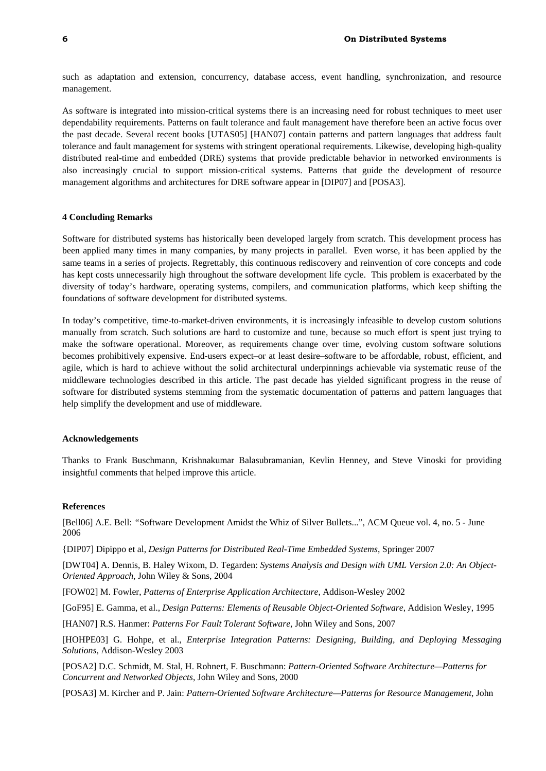such as adaptation and extension, concurrency, database access, event handling, synchronization, and resource management.

As software is integrated into mission-critical systems there is an increasing need for robust techniques to meet user dependability requirements. Patterns on fault tolerance and fault management have therefore been an active focus over the past decade. Several recent books [UTAS05] [HAN07] contain patterns and pattern languages that address fault tolerance and fault management for systems with stringent operational requirements. Likewise, developing high-quality distributed real-time and embedded (DRE) systems that provide predictable behavior in networked environments is also increasingly crucial to support mission-critical systems. Patterns that guide the development of resource management algorithms and architectures for DRE software appear in [DIP07] and [POSA3].

#### **4 Concluding Remarks**

Software for distributed systems has historically been developed largely from scratch. This development process has been applied many times in many companies, by many projects in parallel. Even worse, it has been applied by the same teams in a series of projects. Regrettably, this continuous rediscovery and reinvention of core concepts and code has kept costs unnecessarily high throughout the software development life cycle. This problem is exacerbated by the diversity of today's hardware, operating systems, compilers, and communication platforms, which keep shifting the foundations of software development for distributed systems.

In today's competitive, time-to-market-driven environments, it is increasingly infeasible to develop custom solutions manually from scratch. Such solutions are hard to customize and tune, because so much effort is spent just trying to make the software operational. Moreover, as requirements change over time, evolving custom software solutions becomes prohibitively expensive. End-users expect–or at least desire–software to be affordable, robust, efficient, and agile, which is hard to achieve without the solid architectural underpinnings achievable via systematic reuse of the middleware technologies described in this article. The past decade has yielded significant progress in the reuse of software for distributed systems stemming from the systematic documentation of patterns and pattern languages that help simplify the development and use of middleware.

#### **Acknowledgements**

Thanks to Frank Buschmann, Krishnakumar Balasubramanian, Kevlin Henney, and Steve Vinoski for providing insightful comments that helped improve this article.

## **References**

[Bell06] A.E. Bell: *"*Software Development Amidst the Whiz of Silver Bullets...", ACM Queue vol. 4, no. 5 - June 2006

{DIP07] Dipippo et al, *Design Patterns for Distributed Real-Time Embedded Systems*, Springer 2007

[DWT04] A. Dennis, B. Haley Wixom, D. Tegarden: *Systems Analysis and Design with UML Version 2.0: An Object-Oriented Approach*, John Wiley & Sons, 2004

[FOW02] M. Fowler, *Patterns of Enterprise Application Architecture*, Addison-Wesley 2002

[GoF95] E. Gamma, et al., *Design Patterns: Elements of Reusable Object-Oriented Software*, Addision Wesley, 1995

[HAN07] R.S. Hanmer: *Patterns For Fault Tolerant Software*, John Wiley and Sons, 2007

[HOHPE03] G. Hohpe, et al., *Enterprise Integration Patterns: Designing, Building, and Deploying Messaging Solutions,* Addison-Wesley 2003

[POSA2] D.C. Schmidt, M. Stal, H. Rohnert, F. Buschmann: *Pattern-Oriented Software Architecture—Patterns for Concurrent and Networked Objects*, John Wiley and Sons, 2000

[POSA3] M. Kircher and P. Jain: *Pattern-Oriented Software Architecture—Patterns for Resource Management*, John